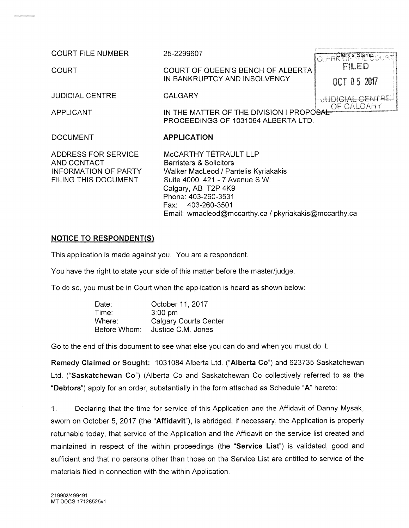**COURT FILE NUMBER** 

**COURT** 

25-2299607

**CALGARY** 

**APPLICATION** 

COURT OF QUEEN'S BENCH OF ALBERTA IN BANKRUPTCY AND INSOLVENCY

**JUDICIAL CENTRE** 

**APPLICANT** 

IN THE MATTER OF THE DIVISION I PROPOSAL PROCEEDINGS OF 1031084 ALBERTA LTD.

**DOCUMENT** 

**ADDRESS FOR SERVICE** AND CONTACT INFORMATION OF PARTY FILING THIS DOCUMENT

MCCARTHY TÉTRAULT LLP **Barristers & Solicitors** Walker MacLeod / Pantelis Kyriakakis Suite 4000, 421 - 7 Avenue S.W. Calgary, AB T2P 4K9 Phone: 403-260-3531 Fax: 403-260-3501 Email: wmacleod@mccarthy.ca / pkyriakakis@mccarthy.ca

# **NOTICE TO RESPONDENT(S)**

This application is made against you. You are a respondent.

You have the right to state your side of this matter before the master/judge.

To do so, you must be in Court when the application is heard as shown below:

| Date:        | October 11, 2017             |
|--------------|------------------------------|
| Time:        | $3:00$ pm                    |
| Where:       | <b>Calgary Courts Center</b> |
| Before Whom: | Justice C.M. Jones           |

Go to the end of this document to see what else you can do and when you must do it.

Remedy Claimed or Sought: 1031084 Alberta Ltd. ("Alberta Co") and 623735 Saskatchewan Ltd. ("Saskatchewan Co") (Alberta Co and Saskatchewan Co collectively referred to as the "Debtors") apply for an order, substantially in the form attached as Schedule "A" hereto:

 $1<sup>1</sup>$ Declaring that the time for service of this Application and the Affidavit of Danny Mysak, sworn on October 5, 2017 (the "Affidavit"), is abridged, if necessary, the Application is properly returnable today, that service of the Application and the Affidavit on the service list created and maintained in respect of the within proceedings (the "Service List") is validated, good and sufficient and that no persons other than those on the Service List are entitled to service of the materials filed in connection with the within Application.

CLERK OF PHE COURT FILED OCT 05 2017 **JUDIGIAL CENTRE** 

OF CALGAHY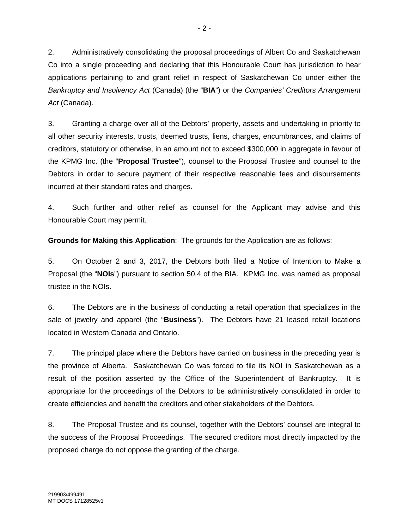2. Administratively consolidating the proposal proceedings of Albert Co and Saskatchewan Co into a single proceeding and declaring that this Honourable Court has jurisdiction to hear applications pertaining to and grant relief in respect of Saskatchewan Co under either the *Bankruptcy and Insolvency Act* (Canada) (the "**BIA**") or the *Companies' Creditors Arrangement Act* (Canada).

3. Granting a charge over all of the Debtors' property, assets and undertaking in priority to all other security interests, trusts, deemed trusts, liens, charges, encumbrances, and claims of creditors, statutory or otherwise, in an amount not to exceed \$300,000 in aggregate in favour of the KPMG Inc. (the "**Proposal Trustee**"), counsel to the Proposal Trustee and counsel to the Debtors in order to secure payment of their respective reasonable fees and disbursements incurred at their standard rates and charges.

4. Such further and other relief as counsel for the Applicant may advise and this Honourable Court may permit.

**Grounds for Making this Application**: The grounds for the Application are as follows:

5. On October 2 and 3, 2017, the Debtors both filed a Notice of Intention to Make a Proposal (the "**NOIs**") pursuant to section 50.4 of the BIA. KPMG Inc. was named as proposal trustee in the NOIs.

6. The Debtors are in the business of conducting a retail operation that specializes in the sale of jewelry and apparel (the "**Business**"). The Debtors have 21 leased retail locations located in Western Canada and Ontario.

7. The principal place where the Debtors have carried on business in the preceding year is the province of Alberta. Saskatchewan Co was forced to file its NOI in Saskatchewan as a result of the position asserted by the Office of the Superintendent of Bankruptcy. It is appropriate for the proceedings of the Debtors to be administratively consolidated in order to create efficiencies and benefit the creditors and other stakeholders of the Debtors.

8. The Proposal Trustee and its counsel, together with the Debtors' counsel are integral to the success of the Proposal Proceedings. The secured creditors most directly impacted by the proposed charge do not oppose the granting of the charge.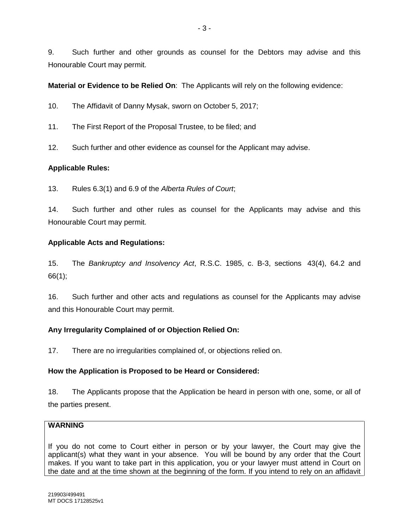9. Such further and other grounds as counsel for the Debtors may advise and this Honourable Court may permit.

**Material or Evidence to be Relied On**: The Applicants will rely on the following evidence:

10. The Affidavit of Danny Mysak, sworn on October 5, 2017;

- 11. The First Report of the Proposal Trustee, to be filed; and
- 12. Such further and other evidence as counsel for the Applicant may advise.

### **Applicable Rules:**

13. Rules 6.3(1) and 6.9 of the *Alberta Rules of Court*;

14. Such further and other rules as counsel for the Applicants may advise and this Honourable Court may permit.

### **Applicable Acts and Regulations:**

15. The *Bankruptcy and Insolvency Act*, R.S.C. 1985, c. B-3, sections 43(4), 64.2 and 66(1);

16. Such further and other acts and regulations as counsel for the Applicants may advise and this Honourable Court may permit.

# **Any Irregularity Complained of or Objection Relied On:**

17. There are no irregularities complained of, or objections relied on.

### **How the Application is Proposed to be Heard or Considered:**

18. The Applicants propose that the Application be heard in person with one, some, or all of the parties present.

# **WARNING**

If you do not come to Court either in person or by your lawyer, the Court may give the applicant(s) what they want in your absence. You will be bound by any order that the Court makes. If you want to take part in this application, you or your lawyer must attend in Court on the date and at the time shown at the beginning of the form. If you intend to rely on an affidavit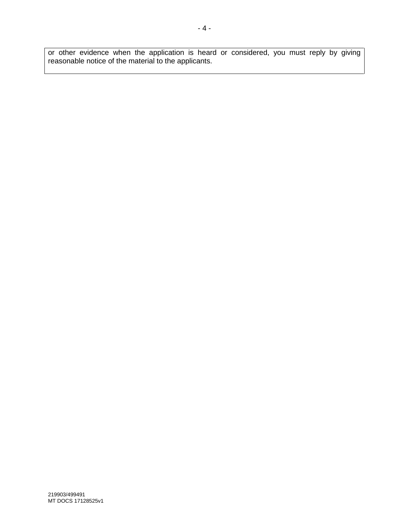or other evidence when the application is heard or considered, you must reply by giving reasonable notice of the material to the applicants.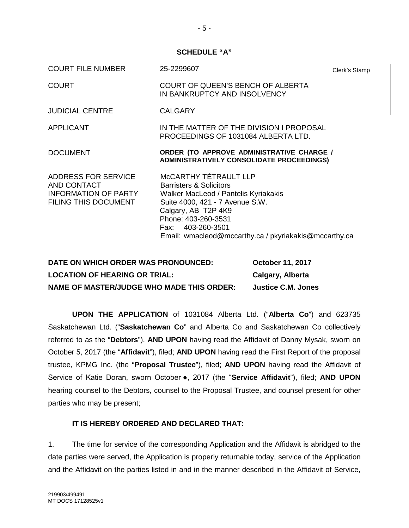- 5 -

#### **SCHEDULE "A"**

| <b>COURT FILE NUMBER</b>                                                                                | 25-2299607                                                                                                                                                                                                                                                         | Clerk's Stamp |
|---------------------------------------------------------------------------------------------------------|--------------------------------------------------------------------------------------------------------------------------------------------------------------------------------------------------------------------------------------------------------------------|---------------|
| COURT                                                                                                   | <b>COURT OF QUEEN'S BENCH OF ALBERTA</b><br>IN BANKRUPTCY AND INSOLVENCY                                                                                                                                                                                           |               |
| <b>JUDICIAL CENTRE</b>                                                                                  | <b>CALGARY</b>                                                                                                                                                                                                                                                     |               |
| <b>APPLICANT</b>                                                                                        | IN THE MATTER OF THE DIVISION I PROPOSAL<br>PROCEEDINGS OF 1031084 ALBERTA LTD.                                                                                                                                                                                    |               |
| <b>DOCUMENT</b>                                                                                         | ORDER (TO APPROVE ADMINISTRATIVE CHARGE /<br><b>ADMINISTRATIVELY CONSOLIDATE PROCEEDINGS)</b>                                                                                                                                                                      |               |
| ADDRESS FOR SERVICE<br><b>AND CONTACT</b><br><b>INFORMATION OF PARTY</b><br><b>FILING THIS DOCUMENT</b> | MCCARTHY TÉTRAULT LLP<br><b>Barristers &amp; Solicitors</b><br>Walker MacLeod / Pantelis Kyriakakis<br>Suite 4000, 421 - 7 Avenue S.W.<br>Calgary, AB T2P 4K9<br>Phone: 403-260-3531<br>Fax: 403-260-3501<br>Email: wmacleod@mccarthy.ca / pkyriakakis@mccarthy.ca |               |

| DATE ON WHICH ORDER WAS PRONOUNCED:              | <b>October 11, 2017</b> |
|--------------------------------------------------|-------------------------|
| <b>LOCATION OF HEARING OR TRIAL:</b>             | Calgary, Alberta        |
| <b>NAME OF MASTER/JUDGE WHO MADE THIS ORDER:</b> | Justice C.M. Jones      |

**UPON THE APPLICATION** of 1031084 Alberta Ltd. ("**Alberta Co**") and 623735 Saskatchewan Ltd. ("**Saskatchewan Co**" and Alberta Co and Saskatchewan Co collectively referred to as the "**Debtors**"), **AND UPON** having read the Affidavit of Danny Mysak, sworn on October 5, 2017 (the "**Affidavit**"), filed; **AND UPON** having read the First Report of the proposal trustee, KPMG Inc. (the "**Proposal Trustee**"), filed; **AND UPON** having read the Affidavit of Service of Katie Doran, sworn October ●, 2017 (the "**Service Affidavit**"), filed; **AND UPON** hearing counsel to the Debtors, counsel to the Proposal Trustee, and counsel present for other parties who may be present;

### **IT IS HEREBY ORDERED AND DECLARED THAT:**

1. The time for service of the corresponding Application and the Affidavit is abridged to the date parties were served, the Application is properly returnable today, service of the Application and the Affidavit on the parties listed in and in the manner described in the Affidavit of Service,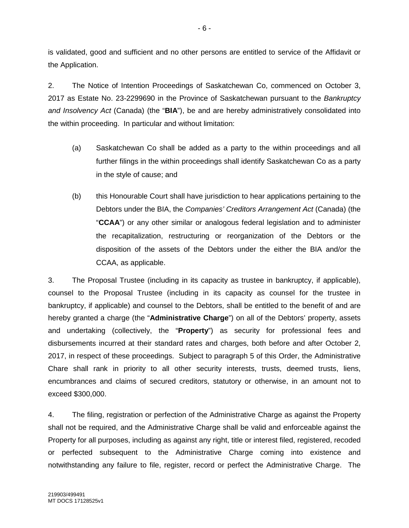is validated, good and sufficient and no other persons are entitled to service of the Affidavit or the Application.

2. The Notice of Intention Proceedings of Saskatchewan Co, commenced on October 3, 2017 as Estate No. 23-2299690 in the Province of Saskatchewan pursuant to the *Bankruptcy and Insolvency Act* (Canada) (the "**BIA**"), be and are hereby administratively consolidated into the within proceeding. In particular and without limitation:

- (a) Saskatchewan Co shall be added as a party to the within proceedings and all further filings in the within proceedings shall identify Saskatchewan Co as a party in the style of cause; and
- (b) this Honourable Court shall have jurisdiction to hear applications pertaining to the Debtors under the BIA, the *Companies' Creditors Arrangement Act* (Canada) (the "**CCAA**") or any other similar or analogous federal legislation and to administer the recapitalization, restructuring or reorganization of the Debtors or the disposition of the assets of the Debtors under the either the BIA and/or the CCAA, as applicable.

3. The Proposal Trustee (including in its capacity as trustee in bankruptcy, if applicable), counsel to the Proposal Trustee (including in its capacity as counsel for the trustee in bankruptcy, if applicable) and counsel to the Debtors, shall be entitled to the benefit of and are hereby granted a charge (the "**Administrative Charge**") on all of the Debtors' property, assets and undertaking (collectively, the "**Property**") as security for professional fees and disbursements incurred at their standard rates and charges, both before and after October 2, 2017, in respect of these proceedings. Subject to paragraph 5 of this Order, the Administrative Chare shall rank in priority to all other security interests, trusts, deemed trusts, liens, encumbrances and claims of secured creditors, statutory or otherwise, in an amount not to exceed \$300,000.

4. The filing, registration or perfection of the Administrative Charge as against the Property shall not be required, and the Administrative Charge shall be valid and enforceable against the Property for all purposes, including as against any right, title or interest filed, registered, recoded or perfected subsequent to the Administrative Charge coming into existence and notwithstanding any failure to file, register, record or perfect the Administrative Charge. The